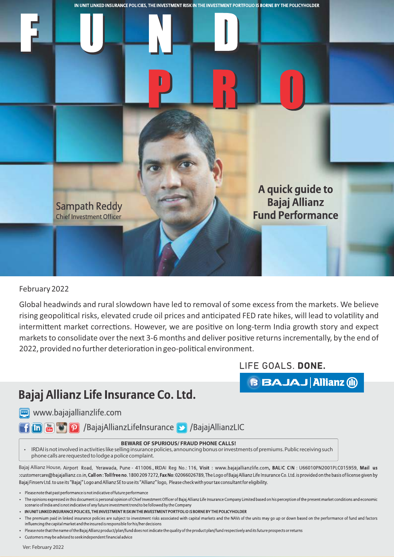

## February 2022

Global headwinds and rural slowdown have led to removal of some excess from the markets. We believe rising geopolitical risks, elevated crude oil prices and anticipated FED rate hikes, will lead to volatility and intermittent market corrections. However, we are positive on long-term India growth story and expect markets to consolidate over the next 3-6 months and deliver positive returns incrementally, by the end of 2022, provided no further deterioration in geo-political environment.

LIFE GOALS. DONE.

**BBAJAJ Allianz (ii)** 

## Bajaj Allianz Life Insurance Co. Ltd.

www.bajajallianzlife.com

**Thin [80 P | D** / BajajAllianzLifeInsurance | > | / BajajAllianzLIC

## **BEWARE OF SPURIOUS/ FRAUD PHONE CALLS!**

 IRDAI is not involved in activities like selling insurance policies, announcing bonus or investments of premiums. Public receiving such phone calls are requested to lodge a police complaint.

Bajaj Allianz House, Airport Road, Yerawada, Pune - 411006., IRDAI Reg No.: 116, Visit: www.bajajallianzlife.com, BALIC CIN: U66010PN2001PLC015959, Mail us :customercare@bajajallianz.co.in, Call on: Toll free no. 1800 2097272, Fax No: 02066026789, The Logo of Bajaj Allianz Life Insurance Co. Ltd. is provided on the basis of license given by Bajaj Finsery Ltd. to use its "Bajaj" Logo and Allianz SE to use its "Allianz" logo, Please check with your tax consultant for eligibility.

- Please note that past performance is not indicative of future performance
- The opinions expressed in this document is personal opinion of Chief Investment Officer of Bajaj Allianz Life Insurance Company Limited based on his perception of the present market conditions and economic scenario of India and is not indicative of any future investment trend to be followed by the Company
- IN UNIT LINKED INSURANCE POLICIES, THE INVESTMENT RISK IN THE INVESTMENT PORTFOLIO IS BORNE BY THE POLICYHOLDER

- Please note that the name of the Bajaj Allianz product/plan/fund does not indicate the quality of the product plan/fund respectively and its future prospects or returns
- Customers may be advised to seek independent financial advice

Ver: February 2022

The premium paid in linked insurance policies are subject to investment risks associated with capital markets and the NAVs of the units may go up or down based on the performance of fund and factors influencing the capital market and the insured is responsible for his/her decisions